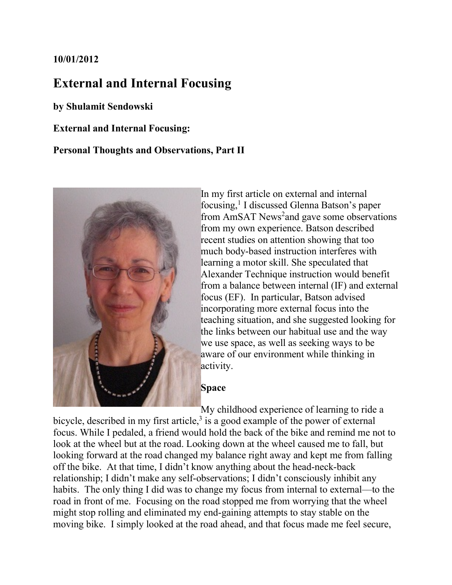## **10/01/2012**

# **External and Internal Focusing**

**by Shulamit Sendowski**

**External and Internal Focusing:**

## **Personal Thoughts and Observations, Part II**



In my first article on external and internal focusing,<sup>1</sup> I discussed Glenna Batson's paper from AmSAT News<sup>2</sup>and gave some observations from my own experience. Batson described recent studies on attention showing that too much body-based instruction interferes with learning a motor skill. She speculated that Alexander Technique instruction would benefit from a balance between internal (IF) and external focus (EF). In particular, Batson advised incorporating more external focus into the teaching situation, and she suggested looking for the links between our habitual use and the way we use space, as well as seeking ways to be aware of our environment while thinking in activity.

#### **Space**

My childhood experience of learning to ride a bicycle, described in my first article, $3$  is a good example of the power of external focus. While I pedaled, a friend would hold the back of the bike and remind me not to look at the wheel but at the road. Looking down at the wheel caused me to fall, but looking forward at the road changed my balance right away and kept me from falling off the bike. At that time, I didn't know anything about the head-neck-back relationship; I didn't make any self-observations; I didn't consciously inhibit any habits. The only thing I did was to change my focus from internal to external—to the road in front of me. Focusing on the road stopped me from worrying that the wheel might stop rolling and eliminated my end-gaining attempts to stay stable on the moving bike. I simply looked at the road ahead, and that focus made me feel secure,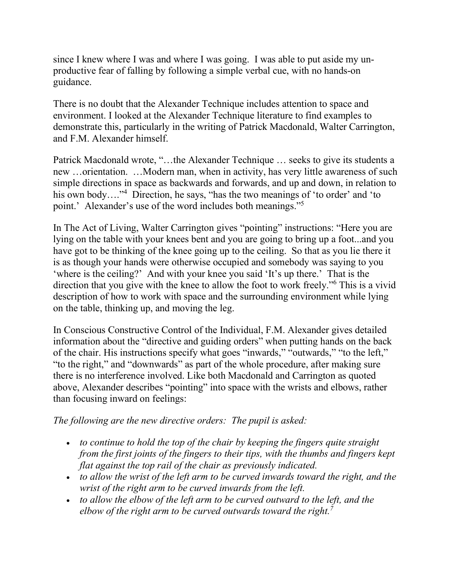since I knew where I was and where I was going. I was able to put aside my unproductive fear of falling by following a simple verbal cue, with no hands-on guidance.

There is no doubt that the Alexander Technique includes attention to space and environment. I looked at the Alexander Technique literature to find examples to demonstrate this, particularly in the writing of Patrick Macdonald, Walter Carrington, and F.M. Alexander himself.

Patrick Macdonald wrote, "…the Alexander Technique … seeks to give its students a new …orientation. …Modern man, when in activity, has very little awareness of such simple directions in space as backwards and forwards, and up and down, in relation to his own body…."<sup>4</sup> Direction, he says, "has the two meanings of 'to order' and 'to point.' Alexander's use of the word includes both meanings."5

In The Act of Living, Walter Carrington gives "pointing" instructions: "Here you are lying on the table with your knees bent and you are going to bring up a foot...and you have got to be thinking of the knee going up to the ceiling. So that as you lie there it is as though your hands were otherwise occupied and somebody was saying to you 'where is the ceiling?' And with your knee you said 'It's up there.' That is the direction that you give with the knee to allow the foot to work freely."6 This is a vivid description of how to work with space and the surrounding environment while lying on the table, thinking up, and moving the leg.

In Conscious Constructive Control of the Individual, F.M. Alexander gives detailed information about the "directive and guiding orders" when putting hands on the back of the chair. His instructions specify what goes "inwards," "outwards," "to the left," "to the right," and "downwards" as part of the whole procedure, after making sure there is no interference involved. Like both Macdonald and Carrington as quoted above, Alexander describes "pointing" into space with the wrists and elbows, rather than focusing inward on feelings:

*The following are the new directive orders: The pupil is asked:*

- *to continue to hold the top of the chair by keeping the fingers quite straight from the first joints of the fingers to their tips, with the thumbs and fingers kept flat against the top rail of the chair as previously indicated.*
- *to allow the wrist of the left arm to be curved inwards toward the right, and the wrist of the right arm to be curved inwards from the left.*
- *to allow the elbow of the left arm to be curved outward to the left, and the elbow of the right arm to be curved outwards toward the right.7*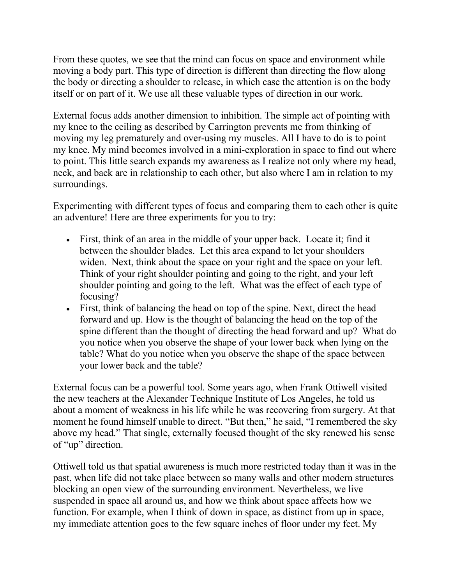From these quotes, we see that the mind can focus on space and environment while moving a body part. This type of direction is different than directing the flow along the body or directing a shoulder to release, in which case the attention is on the body itself or on part of it. We use all these valuable types of direction in our work.

External focus adds another dimension to inhibition. The simple act of pointing with my knee to the ceiling as described by Carrington prevents me from thinking of moving my leg prematurely and over-using my muscles. All I have to do is to point my knee. My mind becomes involved in a mini-exploration in space to find out where to point. This little search expands my awareness as I realize not only where my head, neck, and back are in relationship to each other, but also where I am in relation to my surroundings.

Experimenting with different types of focus and comparing them to each other is quite an adventure! Here are three experiments for you to try:

- First, think of an area in the middle of your upper back. Locate it; find it between the shoulder blades. Let this area expand to let your shoulders widen. Next, think about the space on your right and the space on your left. Think of your right shoulder pointing and going to the right, and your left shoulder pointing and going to the left. What was the effect of each type of focusing?
- First, think of balancing the head on top of the spine. Next, direct the head forward and up. How is the thought of balancing the head on the top of the spine different than the thought of directing the head forward and up? What do you notice when you observe the shape of your lower back when lying on the table? What do you notice when you observe the shape of the space between your lower back and the table?

External focus can be a powerful tool. Some years ago, when Frank Ottiwell visited the new teachers at the Alexander Technique Institute of Los Angeles, he told us about a moment of weakness in his life while he was recovering from surgery. At that moment he found himself unable to direct. "But then," he said, "I remembered the sky above my head." That single, externally focused thought of the sky renewed his sense of "up" direction.

Ottiwell told us that spatial awareness is much more restricted today than it was in the past, when life did not take place between so many walls and other modern structures blocking an open view of the surrounding environment. Nevertheless, we live suspended in space all around us, and how we think about space affects how we function. For example, when I think of down in space, as distinct from up in space, my immediate attention goes to the few square inches of floor under my feet. My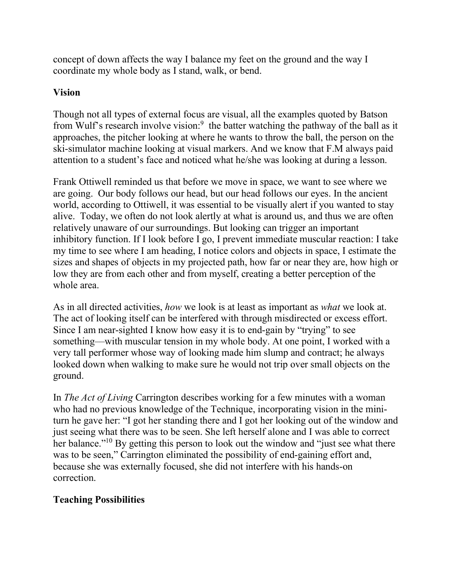concept of down affects the way I balance my feet on the ground and the way I coordinate my whole body as I stand, walk, or bend.

## **Vision**

Though not all types of external focus are visual, all the examples quoted by Batson from Wulf's research involve vision:<sup>9</sup> the batter watching the pathway of the ball as it approaches, the pitcher looking at where he wants to throw the ball, the person on the ski-simulator machine looking at visual markers. And we know that F.M always paid attention to a student's face and noticed what he/she was looking at during a lesson.

Frank Ottiwell reminded us that before we move in space, we want to see where we are going. Our body follows our head, but our head follows our eyes. In the ancient world, according to Ottiwell, it was essential to be visually alert if you wanted to stay alive. Today, we often do not look alertly at what is around us, and thus we are often relatively unaware of our surroundings. But looking can trigger an important inhibitory function. If I look before I go, I prevent immediate muscular reaction: I take my time to see where I am heading, I notice colors and objects in space, I estimate the sizes and shapes of objects in my projected path, how far or near they are, how high or low they are from each other and from myself, creating a better perception of the whole area.

As in all directed activities, *how* we look is at least as important as *what* we look at. The act of looking itself can be interfered with through misdirected or excess effort. Since I am near-sighted I know how easy it is to end-gain by "trying" to see something––with muscular tension in my whole body. At one point, I worked with a very tall performer whose way of looking made him slump and contract; he always looked down when walking to make sure he would not trip over small objects on the ground.

In *The Act of Living* Carrington describes working for a few minutes with a woman who had no previous knowledge of the Technique, incorporating vision in the miniturn he gave her: "I got her standing there and I got her looking out of the window and just seeing what there was to be seen. She left herself alone and I was able to correct her balance."<sup>10</sup> By getting this person to look out the window and "just see what there was to be seen," Carrington eliminated the possibility of end-gaining effort and, because she was externally focused, she did not interfere with his hands-on correction.

# **Teaching Possibilities**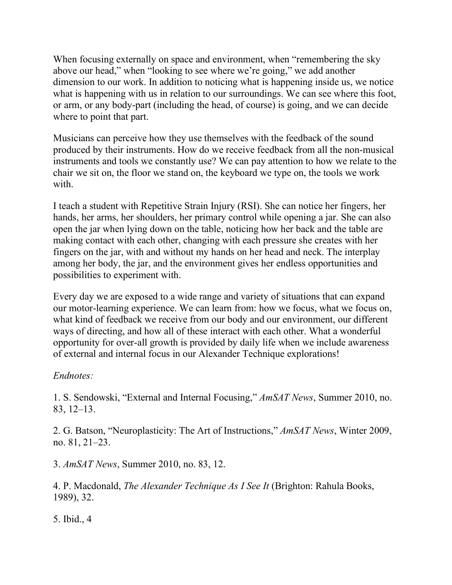When focusing externally on space and environment, when "remembering the sky above our head," when "looking to see where we're going," we add another dimension to our work. In addition to noticing what is happening inside us, we notice what is happening with us in relation to our surroundings. We can see where this foot, or arm, or any body-part (including the head, of course) is going, and we can decide where to point that part.

Musicians can perceive how they use themselves with the feedback of the sound produced by their instruments. How do we receive feedback from all the non-musical instruments and tools we constantly use? We can pay attention to how we relate to the chair we sit on, the floor we stand on, the keyboard we type on, the tools we work with.

I teach a student with Repetitive Strain Injury (RSI). She can notice her fingers, her hands, her arms, her shoulders, her primary control while opening a jar. She can also open the jar when lying down on the table, noticing how her back and the table are making contact with each other, changing with each pressure she creates with her fingers on the jar, with and without my hands on her head and neck. The interplay among her body, the jar, and the environment gives her endless opportunities and possibilities to experiment with.

Every day we are exposed to a wide range and variety of situations that can expand our motor-learning experience. We can learn from: how we focus, what we focus on, what kind of feedback we receive from our body and our environment, our different ways of directing, and how all of these interact with each other. What a wonderful opportunity for over-all growth is provided by daily life when we include awareness of external and internal focus in our Alexander Technique explorations!

# *Endnotes:*

1. S. Sendowski, "External and Internal Focusing," *AmSAT News*, Summer 2010, no. 83, 12–13.

2. G. Batson, "Neuroplasticity: The Art of Instructions," *AmSAT News*, Winter 2009, no. 81, 21–23.

3. *AmSAT News*, Summer 2010, no. 83, 12.

4. P. Macdonald, *The Alexander Technique As I See It* (Brighton: Rahula Books, 1989), 32.

5. Ibid., 4